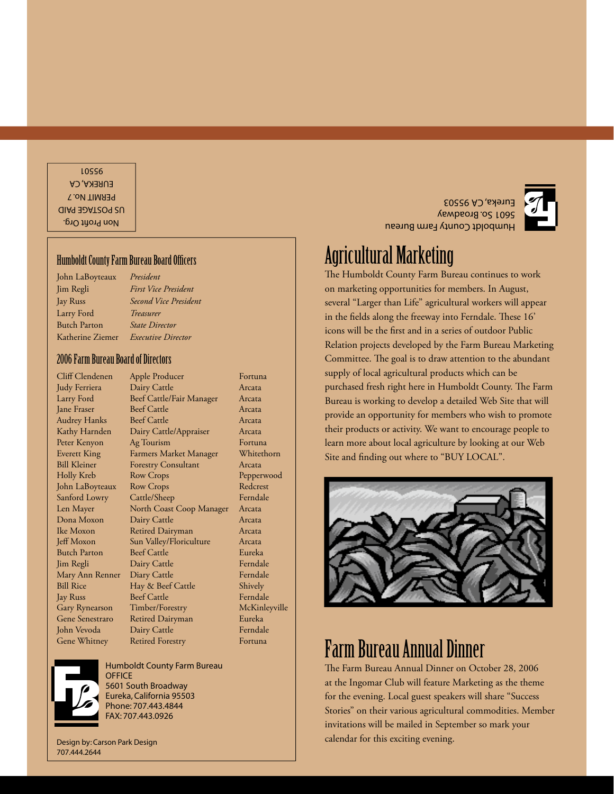Non Profi t Org. US POSTAGE PAID PERMIT No. 7 EUREKA, CA 95501

#### **Humboldt County Farm Bureau Board Officers**

John LaBoyteaux *President* Larry Ford *Treasurer* Butch Parton *State Director*

Jim Regli *First Vice President* Jay Russ *Second Vice President* Katherine Ziemer *Executive Director*

#### 2006 Farm Bureau Board of Directors

Mary Ann Renner Diary Cattle Gary Rynearson Timber/Forestry

Cliff Clendenen Apple Producer Fortuna Judy Ferriera Dairy Cattle Arcata Larry Ford Beef Cattle/Fair Manager Arcata Jane Fraser Beef Cattle Arcata Audrey Hanks Beef Cattle Arcata Kathy Harnden Dairy Cattle/Appraiser Arcata Peter Kenyon Ag Tourism Fortuna Everett King Farmers Market Manager Whitethorn Bill Kleiner Forestry Consultant Arcata Holly Kreb Row Crops Pepperwood John LaBoyteaux Row Crops Redcrest Sanford Lowry Cattle/Sheep Ferndale Len Mayer North Coast Coop Manager Arcata Dona Moxon Dairy Cattle Arcata Ike Moxon Retired Dairyman Arcata Jeff Moxon Sun Valley/Floriculture Arcata Butch Parton Beef Cattle **Eureka** Jim Regli Dairy Cattle Ferndale Bill Rice Hay & Beef Cattle Shively Jay Russ Beef Cattle Ferndale<br>Gary Rynearson Timber/Forestry McKinleyville Gene Senestraro Retired Dairyman Eureka John Vevoda Dairy Cattle Ferndale Gene Whitney Retired Forestry

Humboldt County Farm Bureau **OFFICE** 5601 South Broadway Eureka, California 95503 Phone: 707.443.4844 FAX: 707.443.0926

Design by: Carson Park Design 707.444.2644

Humboldt County Farm Bureau 5601 So. Broadway Eureka, CA 95503

## Agricultural Marketing

The Humboldt County Farm Bureau continues to work on marketing opportunities for members. In August, several "Larger than Life" agricultural workers will appear in the fields along the freeway into Ferndale. These  $16'$ icons will be the first and in a series of outdoor Public Relation projects developed by the Farm Bureau Marketing Committee. The goal is to draw attention to the abundant supply of local agricultural products which can be purchased fresh right here in Humboldt County. The Farm Bureau is working to develop a detailed Web Site that will provide an opportunity for members who wish to promote their products or activity. We want to encourage people to learn more about local agriculture by looking at our Web Site and finding out where to "BUY LOCAL".



## Farm Bureau Annual Dinner

The Farm Bureau Annual Dinner on October 28, 2006 at the Ingomar Club will feature Marketing as the theme for the evening. Local guest speakers will share "Success Stories" on their various agricultural commodities. Member invitations will be mailed in September so mark your calendar for this exciting evening.

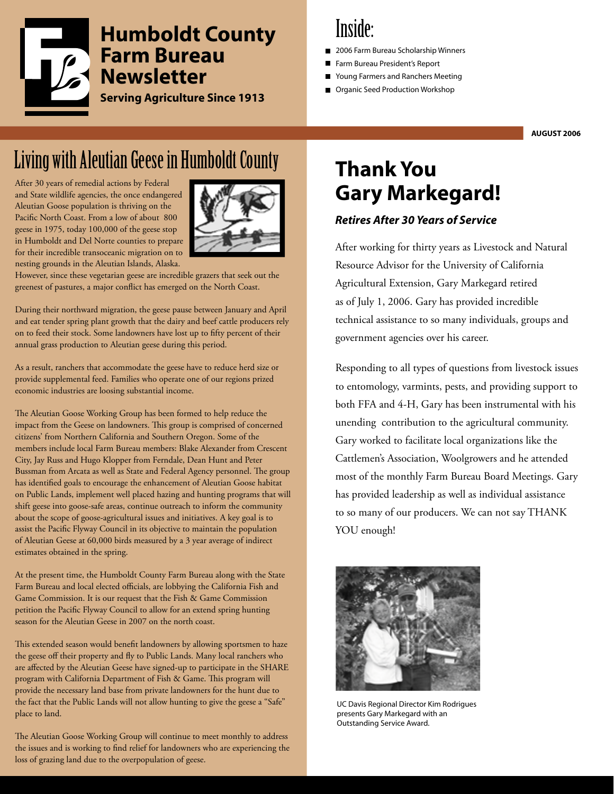

## **Inside:**

- 2006 Farm Bureau Scholarship Winners
- Farm Bureau President's Report
- Young Farmers and Ranchers Meeting
- Organic Seed Production Workshop

**AUGUST 2006**

# Living with Aleutian Geese in Humboldt County

After 30 years of remedial actions by Federal and State wildlife agencies, the once endangered Aleutian Goose population is thriving on the Pacific North Coast. From a low of about 800 geese in 1975, today 100,000 of the geese stop in Humboldt and Del Norte counties to prepare for their incredible transoceanic migration on to nesting grounds in the Aleutian Islands, Alaska.



However, since these vegetarian geese are incredible grazers that seek out the greenest of pastures, a major conflict has emerged on the North Coast.

During their northward migration, the geese pause between January and April and eat tender spring plant growth that the dairy and beef cattle producers rely on to feed their stock. Some landowners have lost up to fifty percent of their annual grass production to Aleutian geese during this period.

As a result, ranchers that accommodate the geese have to reduce herd size or provide supplemental feed. Families who operate one of our regions prized economic industries are loosing substantial income.

The Aleutian Goose Working Group has been formed to help reduce the impact from the Geese on landowners. This group is comprised of concerned citizens' from Northern California and Southern Oregon. Some of the members include local Farm Bureau members: Blake Alexander from Crescent City, Jay Russ and Hugo Klopper from Ferndale, Dean Hunt and Peter Bussman from Arcata as well as State and Federal Agency personnel. The group has identified goals to encourage the enhancement of Aleutian Goose habitat on Public Lands, implement well placed hazing and hunting programs that will shift geese into goose-safe areas, continue outreach to inform the community about the scope of goose-agricultural issues and initiatives. A key goal is to assist the Pacific Flyway Council in its objective to maintain the population of Aleutian Geese at 60,000 birds measured by a 3 year average of indirect estimates obtained in the spring.

At the present time, the Humboldt County Farm Bureau along with the State Farm Bureau and local elected officials, are lobbying the California Fish and Game Commission. It is our request that the Fish & Game Commission petition the Pacific Flyway Council to allow for an extend spring hunting season for the Aleutian Geese in 2007 on the north coast.

This extended season would benefit landowners by allowing sportsmen to haze the geese off their property and fly to Public Lands. Many local ranchers who are affected by the Aleutian Geese have signed-up to participate in the SHARE program with California Department of Fish & Game. This program will provide the necessary land base from private landowners for the hunt due to the fact that the Public Lands will not allow hunting to give the geese a "Safe" place to land.

The Aleutian Goose Working Group will continue to meet monthly to address the issues and is working to find relief for landowners who are experiencing the loss of grazing land due to the overpopulation of geese.

## **Thank You Gary Markegard!**

### *Retires After 30 Years of Service*

After working for thirty years as Livestock and Natural Resource Advisor for the University of California Agricultural Extension, Gary Markegard retired as of July 1, 2006. Gary has provided incredible technical assistance to so many individuals, groups and government agencies over his career.

Responding to all types of questions from livestock issues to entomology, varmints, pests, and providing support to both FFA and 4-H, Gary has been instrumental with his unending contribution to the agricultural community. Gary worked to facilitate local organizations like the Cattlemen's Association, Woolgrowers and he attended most of the monthly Farm Bureau Board Meetings. Gary has provided leadership as well as individual assistance to so many of our producers. We can not say THANK YOU enough!



UC Davis Regional Director Kim Rodrigues presents Gary Markegard with an Outstanding Service Award.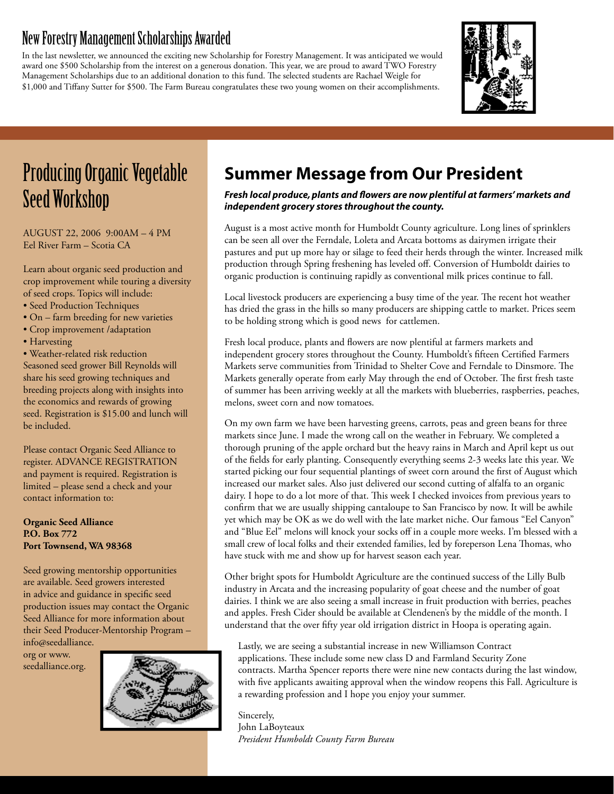## New Forestry Management Scholarships Awarded

In the last newsletter, we announced the exciting new Scholarship for Forestry Management. It was anticipated we would award one \$500 Scholarship from the interest on a generous donation. This year, we are proud to award TWO Forestry Management Scholarships due to an additional donation to this fund. The selected students are Rachael Weigle for \$1,000 and Tiffany Sutter for \$500. The Farm Bureau congratulates these two young women on their accomplishments.



## Producing Organic Vegetable Seed Workshop

AUGUST 22, 2006 9:00AM – 4 PM Eel River Farm – Scotia CA

Learn about organic seed production and crop improvement while touring a diversity of seed crops. Topics will include:

- Seed Production Techniques
- On farm breeding for new varieties
- Crop improvement /adaptation
- Harvesting

• Weather-related risk reduction Seasoned seed grower Bill Reynolds will share his seed growing techniques and breeding projects along with insights into the economics and rewards of growing seed. Registration is \$15.00 and lunch will be included.

Please contact Organic Seed Alliance to register. ADVANCE REGISTRATION and payment is required. Registration is limited – please send a check and your contact information to:

**Organic Seed Alliance P.O. Box 772 Port Townsend, WA 98368**

Seed growing mentorship opportunities are available. Seed growers interested in advice and guidance in specific seed production issues may contact the Organic Seed Alliance for more information about their Seed Producer-Mentorship Program – info@seedalliance.

org or www. seedalliance.org.



## **Summer Message from Our President**

*Fresh local produce, plants and flowers are now plentiful at farmers' markets and independent grocery stores throughout the county.*

August is a most active month for Humboldt County agriculture. Long lines of sprinklers can be seen all over the Ferndale, Loleta and Arcata bottoms as dairymen irrigate their pastures and put up more hay or silage to feed their herds through the winter. Increased milk production through Spring freshening has leveled off . Conversion of Humboldt dairies to organic production is continuing rapidly as conventional milk prices continue to fall.

Local livestock producers are experiencing a busy time of the year. The recent hot weather has dried the grass in the hills so many producers are shipping cattle to market. Prices seem to be holding strong which is good news for cattlemen.

Fresh local produce, plants and flowers are now plentiful at farmers markets and independent grocery stores throughout the County. Humboldt's fifteen Certified Farmers Markets serve communities from Trinidad to Shelter Cove and Ferndale to Dinsmore. The Markets generally operate from early May through the end of October. The first fresh taste of summer has been arriving weekly at all the markets with blueberries, raspberries, peaches, melons, sweet corn and now tomatoes.

On my own farm we have been harvesting greens, carrots, peas and green beans for three markets since June. I made the wrong call on the weather in February. We completed a thorough pruning of the apple orchard but the heavy rains in March and April kept us out of the fields for early planting. Consequently everything seems 2-3 weeks late this year. We started picking our four sequential plantings of sweet corn around the first of August which increased our market sales. Also just delivered our second cutting of alfalfa to an organic dairy. I hope to do a lot more of that. This week I checked invoices from previous years to confirm that we are usually shipping cantaloupe to San Francisco by now. It will be awhile yet which may be OK as we do well with the late market niche. Our famous "Eel Canyon" and "Blue Eel" melons will knock your socks off in a couple more weeks. I'm blessed with a small crew of local folks and their extended families, led by foreperson Lena Thomas, who have stuck with me and show up for harvest season each year.

Other bright spots for Humboldt Agriculture are the continued success of the Lilly Bulb industry in Arcata and the increasing popularity of goat cheese and the number of goat dairies. I think we are also seeing a small increase in fruit production with berries, peaches and apples. Fresh Cider should be available at Clendenen's by the middle of the month. I understand that the over fifty year old irrigation district in Hoopa is operating again.

Lastly, we are seeing a substantial increase in new Williamson Contract applications. These include some new class D and Farmland Security Zone contracts. Martha Spencer reports there were nine new contacts during the last window, with five applicants awaiting approval when the window reopens this Fall. Agriculture is a rewarding profession and I hope you enjoy your summer.

Sincerely, John LaBoyteaux *President Humboldt County Farm Bureau*